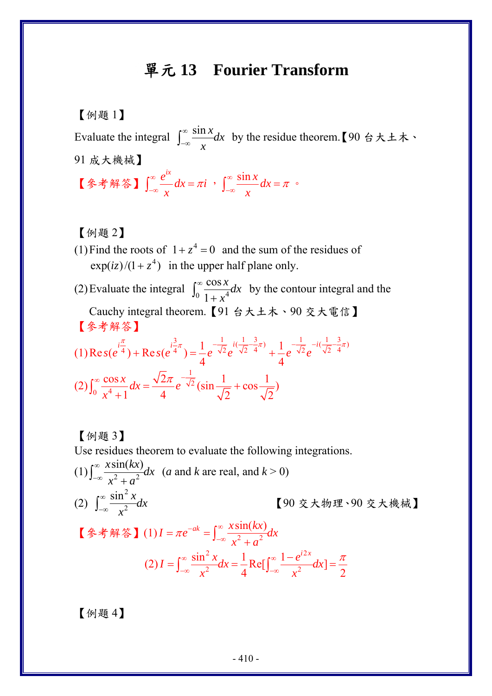## 單元 **13 Fourier Transform**

## 【例題 1】

Evaluate the integral  $\int_{-\infty}^{\infty} \frac{\sin x}{x} dx$ *x*  $\int_{-\infty}^{\infty} \frac{\sin x}{x} dx$  by the residue theorem. 【90 台大土木、 91 成大機械】 【參考解答】  $\frac{e^{ix}}{x}dx = \pi i$ *x*  $\int_{-\infty}^{\infty} \frac{e^{ix}}{x} dx = \pi i \quad , \quad \int_{-\infty}^{\infty} \frac{\sin x}{x} dx$  $\int_{-\infty}^{\infty} \frac{\sin x}{x} dx = \pi$ 

【例題 2】

- (1) Find the roots of  $1 + z<sup>4</sup> = 0$  and the sum of the residues of  $\exp(iz)/(1 + z^4)$  in the upper half plane only.
- (2) Evaluate the integral  $\int_0^\infty \frac{\cos x}{1 + x^4}$ cos 1 *x dx x*  $\int_0^\infty \frac{\cos x}{1 + x^4} dx$  by the contour integral and the Cauchy integral theorem.【91 台大土木、90 交大電信】 【參考解答】 (1)  $\text{Res}(e^{i\frac{\pi}{4}}) + \text{Res}(e^{i\frac{3}{4}\pi}) = \frac{1}{4}e^{-\frac{1}{\sqrt{2}}}e^{i(\frac{1}{\sqrt{2}}-\frac{3}{4}\pi)} + \frac{1}{4}e^{-\frac{1}{\sqrt{2}}}e^{-i(\frac{1}{\sqrt{2}}-\frac{3}{4}\pi)}$  $s(e^{4}) + \text{Re } s(e^{4}) = \frac{1}{e}e^{-\sqrt{2}}e^{(\sqrt{2})/4} + \frac{1}{e}e^{-\sqrt{2}}e^{(\sqrt{2})/4}$  $\frac{\pi}{1-\pi}$   $i\frac{1}{\pi}$   $i\frac{1}{\pi}$   $i\frac{1}{\pi}$   $i\frac{1}{\pi}$   $i\frac{1}{\pi}$   $-i\frac{1}{\pi}$  $+ \text{Re } s(e^{4^{n}}) = \frac{1}{2}e^{-\sqrt{2}}e^{(\sqrt{2}/4)^{n}} +$

$$
(2)\int_0^\infty \frac{\cos x}{x^4 + 1} dx = \frac{\sqrt{2}\pi}{4} e^{-\frac{1}{\sqrt{2}}} \left(\sin\frac{1}{\sqrt{2}} + \cos\frac{1}{\sqrt{2}}\right)
$$

【例題 3】 Use residues theorem to evaluate the following integrations.

(1) 
$$
\int_{-\infty}^{\infty} \frac{x \sin(kx)}{x^2 + a^2} dx
$$
 (a and k are real, and  $k > 0$ )

\n(2) 
$$
\int_{-\infty}^{\infty} \frac{\sin^2 x}{x^2} dx
$$
 [90  $\bar{x} \neq \bar{y}$  and  $\bar{y}$ ]  
\n[ $\frac{\bar{x} \cdot \sin^2 x}{x^2 + a^2}$ ]  
\n[ $\frac{\bar{x} \cdot \sin(kx)}{x^2 + a^2} dx$ ]  
\n[ $\frac{\bar{x} \cdot \sin(kx)}{x^2 + a^2} dx$ ]  
\n[ $\frac{\bar{x} \cdot \sin^2 x}{x^2 + a^2} dx$ ]  
\n[ $\frac{\sin^2 x}{x^2} dx = \frac{1}{4} \text{Re}[\int_{-\infty}^{\infty} \frac{1 - e^{i2x}}{x^2} dx] = \frac{\pi}{2}$ 

【例題 4】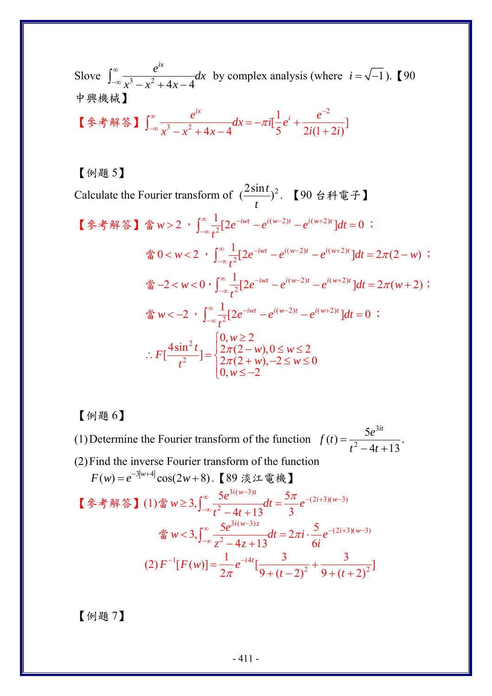Slove  $\int_{-\infty}^{\infty} \frac{e^{-x}}{x^3 - x^2 + 4x - 4}$  $\frac{e^{ix}}{2}$  *dx*  $x^3 - x^2 + 4x$  $\int_{-\infty}^{\infty} \frac{e^{ix}}{x^3 - x^2 + 4x - 4} dx$  by complex analysis (where *i* =  $\sqrt{-1}$ ). [90 中興機械】

\n
$$
\left[ \frac{1}{2} \cdot \frac{e^{ix}}{\sqrt{3-x^2+4x-4}} \right] \, dx = -\pi i \left[ \frac{1}{5} e^{i} + \frac{e^{-2}}{2i(1+2i)} \right]
$$
\n

## 【例題 5】

Calculate the Fourier transform of  $\left(\frac{2\sin t}{t}\right)^2$  $\frac{1}{t}$   $\binom{1}{t}$  2. 【90 台科電子】

\n
$$
\left[ \oint_{\infty} \hat{\mathbf{F}} \hat{\mathbf{F}} \hat{\mathbf{F}} \hat{\mathbf{F}} \hat{\mathbf{F}} \hat{\mathbf{F}} \hat{\mathbf{F}} \hat{\mathbf{F}} \hat{\mathbf{F}} \hat{\mathbf{F}} \hat{\mathbf{F}} \hat{\mathbf{F}} \hat{\mathbf{F}} \hat{\mathbf{F}} \hat{\mathbf{F}} \hat{\mathbf{F}} \hat{\mathbf{F}} \hat{\mathbf{F}} \hat{\mathbf{F}} \hat{\mathbf{F}} \hat{\mathbf{F}} \hat{\mathbf{F}} \hat{\mathbf{F}} \hat{\mathbf{F}} \hat{\mathbf{F}} \hat{\mathbf{F}} \hat{\mathbf{F}} \hat{\mathbf{F}} \hat{\mathbf{F}} \hat{\mathbf{F}} \hat{\mathbf{F}} \hat{\mathbf{F}} \hat{\mathbf{F}} \hat{\mathbf{F}} \hat{\mathbf{F}} \hat{\mathbf{F}} \hat{\mathbf{F}} \hat{\mathbf{F}} \hat{\mathbf{F}} \hat{\mathbf{F}} \hat{\mathbf{F}} \hat{\mathbf{F}} \hat{\mathbf{F}} \hat{\mathbf{F}} \hat{\mathbf{F}} \hat{\mathbf{F}} \hat{\mathbf{F}} \hat{\mathbf{F}} \hat{\mathbf{F}} \hat{\mathbf{F}} \hat{\mathbf{F}} \hat{\mathbf{F}} \hat{\mathbf{F}} \hat{\mathbf{F}} \hat{\mathbf{F}} \hat{\mathbf{F}} \hat{\mathbf{F}} \hat{\mathbf{F}} \hat{\mathbf{F}} \hat{\mathbf{F}} \hat{\mathbf{F}} \hat{\mathbf{F}} \hat{\mathbf{F}} \hat{\mathbf{F}} \hat{\mathbf{F}} \hat{\mathbf{F}} \hat{\mathbf{F}} \hat{\mathbf{F}} \hat{\mathbf{F}} \hat{\mathbf{F}} \hat{\mathbf{F}} \hat{\mathbf{F}} \hat{\mathbf{F}} \hat{\mathbf{F}} \hat{\mathbf{F}} \hat{\mathbf{F}} \hat{\mathbf{F}} \hat{\mathbf{F}} \hat{\mathbf{F}} \hat{\mathbf{F}} \hat{\mathbf{F}} \hat{\mathbf{F}} \hat{\mathbf{F}} \hat{\mathbf{F}} \hat{\mathbf{F}} \hat{\mathbf{F}} \hat{\mathbf{F}} \hat{\mathbf{F}} \hat{\mathbf{F}} \hat{\mathbf{F}} \hat{\mathbf{F}} \hat{\mathbf{F}} \hat{\mathbf{F}} \hat{\mathbf{
$$

【例題 6】

(1)Determine the Fourier transform of the function 3  $f(t) = \frac{5e^{3it}}{t^2 - 4t + 13}$  $=\frac{3c}{t^2-4t+13}$ . (2) Find the inverse Fourier transform of the function

$$
F(w) = e^{-3|w+4|} \cos(2w+8). \quad \text{[89 $\mathbb{R}$ $\mathbb{Z}$ $\mathbb{E}$ $\mathbb{R}$} \text{]}
$$
\n
$$
\text{[$\mathbb{Z}$ $\mathbb{Z}$ $\mathbb{H}$ $\mathbb{S}$ $\mathbb{S}$} \text{] (1) $\mathbb{S}$ $w \ge 3$, $\int_{-\infty}^{\infty} \frac{5e^{3i(w-3)t}}{t^2 - 4t + 13} dt = \frac{5\pi}{3} e^{-(2i+3)(w-3)}$
$$
\n
$$
\text{[$\mathbb{S}$ $w < 3$, $\int_{-\infty}^{\infty} \frac{5e^{3i(w-3)z}}{z^2 - 4z + 13} dt = 2\pi i \cdot \frac{5}{6i} e^{-(2i+3)(w-3)}$
$$
\n
$$
\text{(2) } F^{-1}[F(w)] = \frac{1}{2\pi} e^{-i4t} \left[ \frac{3}{9 + (t - 2)^2} + \frac{3}{9 + (t + 2)^2} \right]
$$

【例題 7】